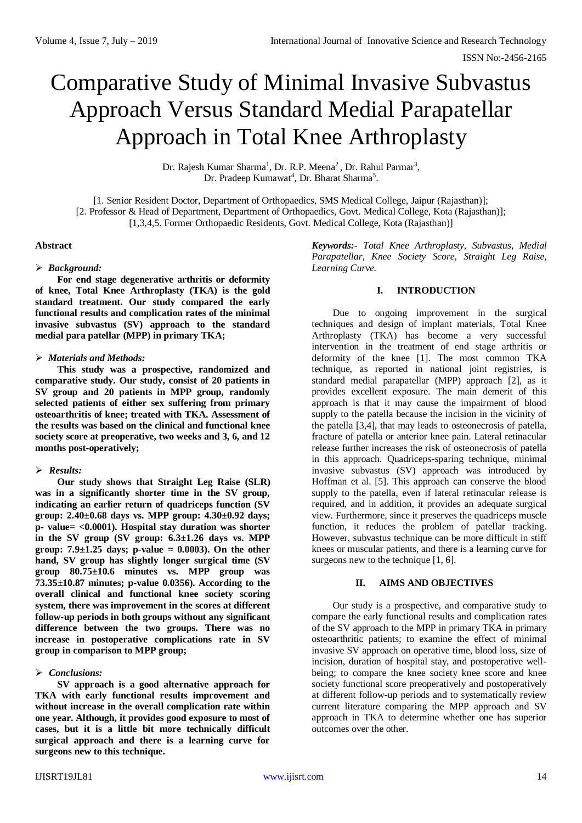# Comparative Study of Minimal Invasive Subvastus Approach Versus Standard Medial Parapatellar Approach in Total Knee Arthroplasty

Dr. Rajesh Kumar Sharma<sup>1</sup>, Dr. R.P. Meena<sup>2</sup>, Dr. Rahul Parmar<sup>3</sup>, Dr. Pradeep Kumawat<sup>4</sup>, Dr. Bharat Sharma<sup>5</sup>.

[1. Senior Resident Doctor, Department of Orthopaedics, SMS Medical College, Jaipur (Rajasthan)]; [2. Professor & Head of Department, Department of Orthopaedics, Govt. Medical College, Kota (Rajasthan)];

[1,3,4,5. Former Orthopaedic Residents, Govt. Medical College, Kota (Rajasthan)]

#### **Abstract**

#### *Background:*

**For end stage degenerative arthritis or deformity of knee, Total Knee Arthroplasty (TKA) is the gold standard treatment. Our study compared the early functional results and complication rates of the minimal invasive subvastus (SV) approach to the standard medial para patellar (MPP) in primary TKA;** 

# *Materials and Methods:*

**This study was a prospective, randomized and comparative study. Our study, consist of 20 patients in SV group and 20 patients in MPP group, randomly selected patients of either sex suffering from primary osteoarthritis of knee; treated with TKA. Assessment of the results was based on the clinical and functional knee society score at preoperative, two weeks and 3, 6, and 12 months post-operatively;** 

# *Results:*

**Our study shows that Straight Leg Raise (SLR) was in a significantly shorter time in the SV group, indicating an earlier return of quadriceps function (SV group: 2.40±0.68 days vs. MPP group: 4.30±0.92 days; p- value= <0.0001). Hospital stay duration was shorter in the SV group (SV group: 6.3±1.26 days vs. MPP group: 7.9±1.25 days; p-value = 0.0003). On the other hand, SV group has slightly longer surgical time (SV group 80.75±10.6 minutes vs. MPP group was 73.35±10.87 minutes; p-value 0.0356). According to the overall clinical and functional knee society scoring system, there was improvement in the scores at different follow-up periods in both groups without any significant difference between the two groups. There was no increase in postoperative complications rate in SV group in comparison to MPP group;** 

# *Conclusions:*

**SV approach is a good alternative approach for TKA with early functional results improvement and without increase in the overall complication rate within one year. Although, it provides good exposure to most of cases, but it is a little bit more technically difficult surgical approach and there is a learning curve for surgeons new to this technique.** 

*Keywords:- Total Knee Arthroplasty, Subvastus, Medial Parapatellar, Knee Society Score, Straight Leg Raise, Learning Curve.*

#### **I. INTRODUCTION**

Due to ongoing improvement in the surgical techniques and design of implant materials, Total Knee Arthroplasty (TKA) has become a very successful intervention in the treatment of end stage arthritis or deformity of the knee [1]. The most common TKA technique, as reported in national joint registries, is standard medial parapatellar (MPP) approach [2], as it provides excellent exposure. The main demerit of this approach is that it may cause the impairment of blood supply to the patella because the incision in the vicinity of the patella [3,4], that may leads to osteonecrosis of patella, fracture of patella or anterior knee pain. Lateral retinacular release further increases the risk of osteonecrosis of patella in this approach. Quadriceps-sparing technique, minimal invasive subvastus (SV) approach was introduced by Hoffman et al. [5]. This approach can conserve the blood supply to the patella, even if lateral retinacular release is required, and in addition, it provides an adequate surgical view. Furthermore, since it preserves the quadriceps muscle function, it reduces the problem of patellar tracking. However, subvastus technique can be more difficult in stiff knees or muscular patients, and there is a learning curve for surgeons new to the technique [1, 6].

# **II. AIMS AND OBJECTIVES**

Our study is a prospective, and comparative study to compare the early functional results and complication rates of the SV approach to the MPP in primary TKA in primary osteoarthritic patients; to examine the effect of minimal invasive SV approach on operative time, blood loss, size of incision, duration of hospital stay, and postoperative wellbeing; to compare the knee society knee score and knee society functional score preoperatively and postoperatively at different follow-up periods and to systematically review current literature comparing the MPP approach and SV approach in TKA to determine whether one has superior outcomes over the other.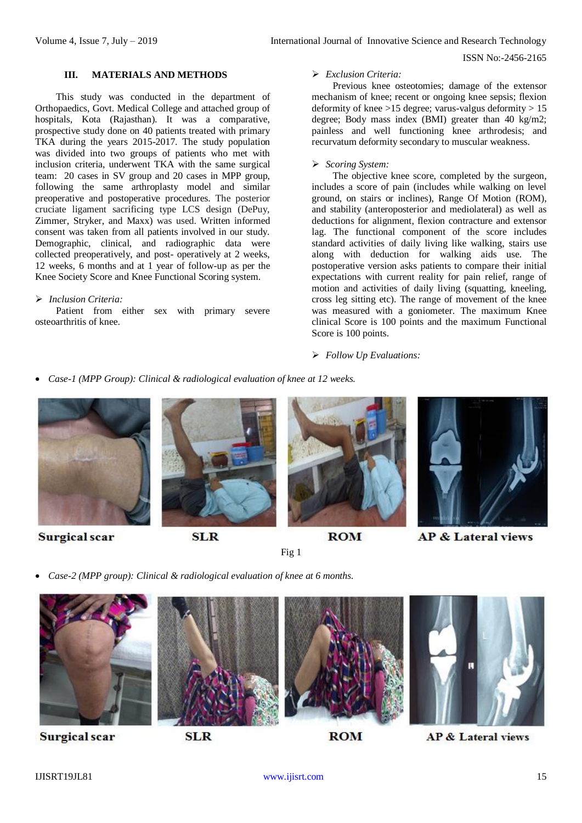#### **III. MATERIALS AND METHODS**

This study was conducted in the department of Orthopaedics, Govt. Medical College and attached group of hospitals, Kota (Rajasthan). It was a comparative, prospective study done on 40 patients treated with primary TKA during the years 2015-2017. The study population was divided into two groups of patients who met with inclusion criteria, underwent TKA with the same surgical team: 20 cases in SV group and 20 cases in MPP group, following the same arthroplasty model and similar preoperative and postoperative procedures. The posterior cruciate ligament sacrificing type LCS design (DePuy, Zimmer, Stryker, and Maxx) was used. Written informed consent was taken from all patients involved in our study. Demographic, clinical, and radiographic data were collected preoperatively, and post- operatively at 2 weeks, 12 weeks, 6 months and at 1 year of follow-up as per the Knee Society Score and Knee Functional Scoring system.

#### *Inclusion Criteria:*

Patient from either sex with primary severe osteoarthritis of knee.

#### *Exclusion Criteria:*

Previous knee osteotomies; damage of the extensor mechanism of knee; recent or ongoing knee sepsis; flexion deformity of knee >15 degree; varus-valgus deformity > 15 degree; Body mass index (BMI) greater than 40 kg/m2; painless and well functioning knee arthrodesis; and recurvatum deformity secondary to muscular weakness.

#### *Scoring System:*

The objective knee score, completed by the surgeon, includes a score of pain (includes while walking on level ground, on stairs or inclines), Range Of Motion (ROM), and stability (anteroposterior and mediolateral) as well as deductions for alignment, flexion contracture and extensor lag. The functional component of the score includes standard activities of daily living like walking, stairs use along with deduction for walking aids use. The postoperative version asks patients to compare their initial expectations with current reality for pain relief, range of motion and activities of daily living (squatting, kneeling, cross leg sitting etc). The range of movement of the knee was measured with a goniometer. The maximum Knee clinical Score is 100 points and the maximum Functional Score is 100 points.

#### *Follow Up Evaluations:*

*Case-1 (MPP Group): Clinical & radiological evaluation of knee at 12 weeks.*



**Surgical scar** 



**SLR** 



**ROM** 



**AP & Lateral views** 

*Case-2 (MPP group): Clinical & radiological evaluation of knee at 6 months.* 



**Surgical scar** 



**SLR** 



**ROM** 



**AP & Lateral views** 

Fig 1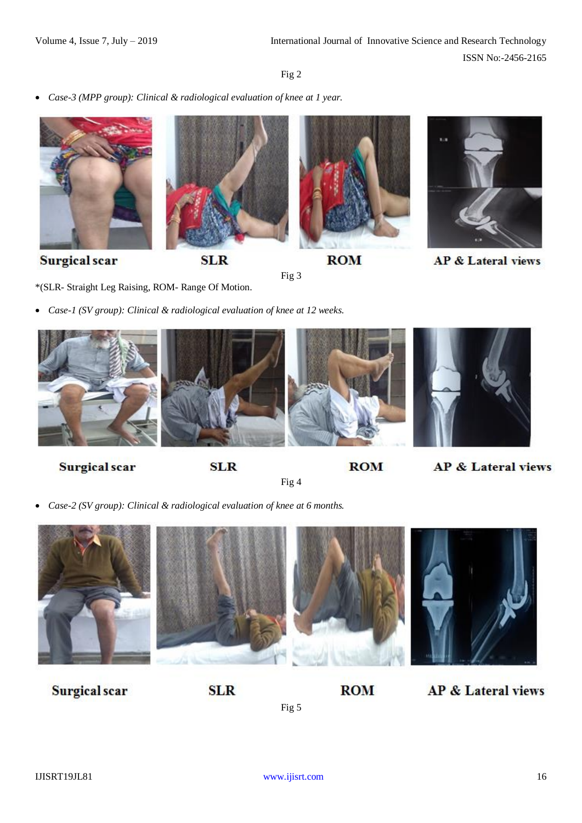*Case-3 (MPP group): Clinical & radiological evaluation of knee at 1 year.* 



\*(SLR- Straight Leg Raising, ROM- Range Of Motion.

*Case-1 (SV group): Clinical & radiological evaluation of knee at 12 weeks.*



Fig 4

**Surgical scar** 

**SLR** 

**ROM** 

**AP & Lateral views** 

*Case-2 (SV group): Clinical & radiological evaluation of knee at 6 months.*



**Surgical scar** 

**SLR** 

**ROM** 

**AP & Lateral views** 

Fig 5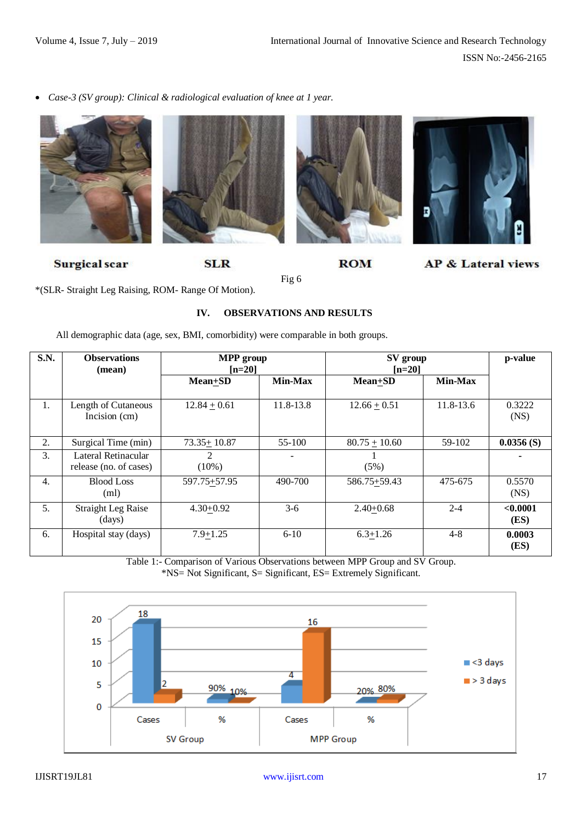*Case-3 (SV group): Clinical & radiological evaluation of knee at 1 year.*



**ROM** 



**Surgical scar** 

**SLR** 

**AP & Lateral views** 

\*(SLR- Straight Leg Raising, ROM- Range Of Motion).

# **IV. OBSERVATIONS AND RESULTS**

Fig 6

All demographic data (age, sex, BMI, comorbidity) were comparable in both groups.

| <b>S.N.</b> | <b>Observations</b><br>(mean)                 | <b>MPP</b> group<br>$[n=20]$ |           | SV group<br>$[n=20]$ |               | p-value          |
|-------------|-----------------------------------------------|------------------------------|-----------|----------------------|---------------|------------------|
|             |                                               | <b>Mean+SD</b>               | Min-Max   | <b>Mean+SD</b>       | Min-Max       |                  |
| 1.          | Length of Cutaneous<br>Incision (cm)          | $12.84 + 0.61$               | 11.8-13.8 | $12.66 + 0.51$       | $11.8 - 13.6$ | 0.3222<br>(NS)   |
| 2.          | Surgical Time (min)                           | $73.35 + 10.87$              | 55-100    | $80.75 \pm 10.60$    | 59-102        | 0.0356(S)        |
| 3.          | Lateral Retinacular<br>release (no. of cases) | $\mathfrak{D}$<br>$(10\%)$   |           | (5%)                 |               |                  |
| 4.          | <b>Blood Loss</b><br>(ml)                     | 597.75+57.95                 | 490-700   | 586.75+59.43         | 475-675       | 0.5570<br>(NS)   |
| 5.          | <b>Straight Leg Raise</b><br>(days)           | $4.30+0.92$                  | $3-6$     | $2.40+0.68$          | $2 - 4$       | < 0.0001<br>(ES) |
| 6.          | Hospital stay (days)                          | $7.9 + 1.25$                 | $6 - 10$  | $6.3 + 1.26$         | $4 - 8$       | 0.0003<br>(ES)   |

Table 1:- Comparison of Various Observations between MPP Group and SV Group.

\*NS= Not Significant, S= Significant, ES= Extremely Significant.

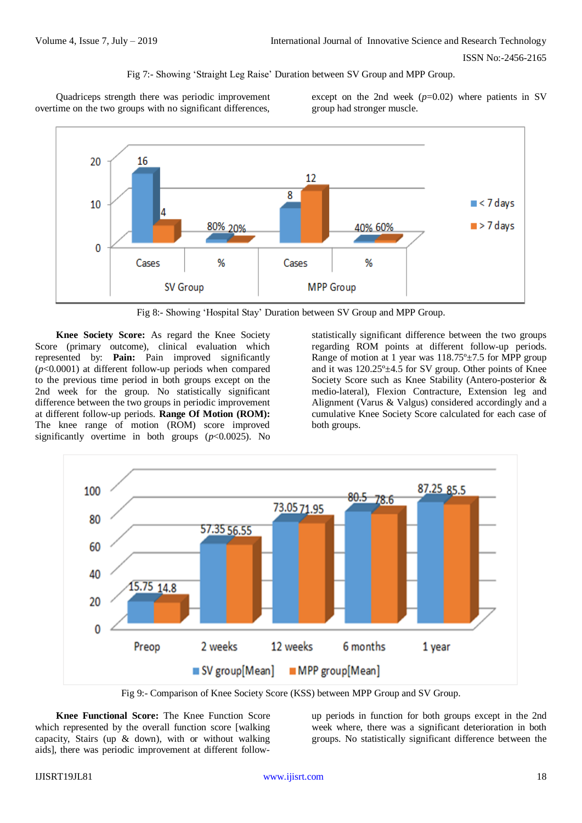Fig 7:- Showing 'Straight Leg Raise' Duration between SV Group and MPP Group.

Quadriceps strength there was periodic improvement overtime on the two groups with no significant differences,

except on the 2nd week  $(p=0.02)$  where patients in SV group had stronger muscle.



Fig 8:- Showing 'Hospital Stay' Duration between SV Group and MPP Group.

**Knee Society Score:** As regard the Knee Society Score (primary outcome), clinical evaluation which represented by: **Pain:** Pain improved significantly (*p*<0.0001) at different follow-up periods when compared to the previous time period in both groups except on the 2nd week for the group. No statistically significant difference between the two groups in periodic improvement at different follow-up periods. **Range Of Motion (ROM):**  The knee range of motion (ROM) score improved significantly overtime in both groups  $(p<0.0025)$ . No

statistically significant difference between the two groups regarding ROM points at different follow-up periods. Range of motion at 1 year was 118.75º±7.5 for MPP group and it was 120.25º±4.5 for SV group. Other points of Knee Society Score such as Knee Stability (Antero-posterior & medio-lateral), Flexion Contracture, Extension leg and Alignment (Varus & Valgus) considered accordingly and a cumulative Knee Society Score calculated for each case of both groups.



Fig 9:- Comparison of Knee Society Score (KSS) between MPP Group and SV Group.

**Knee Functional Score:** The Knee Function Score which represented by the overall function score [walking capacity, Stairs (up & down), with or without walking aids], there was periodic improvement at different follow-

up periods in function for both groups except in the 2nd week where, there was a significant deterioration in both groups. No statistically significant difference between the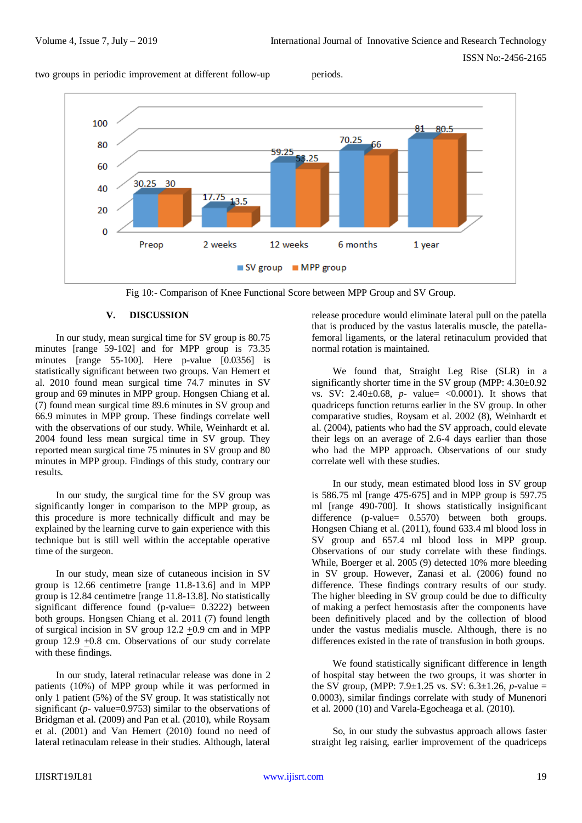two groups in periodic improvement at different follow-up periods.



Fig 10:- Comparison of Knee Functional Score between MPP Group and SV Group.

### **V. DISCUSSION**

In our study, mean surgical time for SV group is 80.75 minutes [range 59-102] and for MPP group is 73.35 minutes [range 55-100]. Here p-value [0.0356] is statistically significant between two groups. Van Hemert et al. 2010 found mean surgical time 74.7 minutes in SV group and 69 minutes in MPP group. Hongsen Chiang et al. (7) found mean surgical time 89.6 minutes in SV group and 66.9 minutes in MPP group. These findings correlate well with the observations of our study. While, Weinhardt et al. 2004 found less mean surgical time in SV group. They reported mean surgical time 75 minutes in SV group and 80 minutes in MPP group. Findings of this study, contrary our results.

In our study, the surgical time for the SV group was significantly longer in comparison to the MPP group, as this procedure is more technically difficult and may be explained by the learning curve to gain experience with this technique but is still well within the acceptable operative time of the surgeon.

In our study, mean size of cutaneous incision in SV group is 12.66 centimetre [range 11.8-13.6] and in MPP group is 12.84 centimetre [range 11.8-13.8]. No statistically significant difference found (p-value= 0.3222) between both groups. Hongsen Chiang et al. 2011 (7) found length of surgical incision in SV group 12.2 +0.9 cm and in MPP group 12.9 +0.8 cm. Observations of our study correlate with these findings.

In our study, lateral retinacular release was done in 2 patients (10%) of MPP group while it was performed in only 1 patient (5%) of the SV group. It was statistically not significant (*p*- value=0.9753) similar to the observations of Bridgman et al. (2009) and Pan et al. (2010), while Roysam et al. (2001) and Van Hemert (2010) found no need of lateral retinaculam release in their studies. Although, lateral

release procedure would eliminate lateral pull on the patella that is produced by the vastus lateralis muscle, the patellafemoral ligaments, or the lateral retinaculum provided that normal rotation is maintained.

We found that, Straight Leg Rise (SLR) in a significantly shorter time in the SV group (MPP: 4.30±0.92 vs. SV:  $2.40 \pm 0.68$ , *p*- value= <0.0001). It shows that quadriceps function returns earlier in the SV group. In other comparative studies, Roysam et al. 2002 (8), Weinhardt et al. (2004), patients who had the SV approach, could elevate their legs on an average of 2.6-4 days earlier than those who had the MPP approach. Observations of our study correlate well with these studies.

In our study, mean estimated blood loss in SV group is 586.75 ml [range 475-675] and in MPP group is 597.75 ml [range 490-700]. It shows statistically insignificant difference (p-value= 0.5570) between both groups. Hongsen Chiang et al. (2011), found 633.4 ml blood loss in SV group and 657.4 ml blood loss in MPP group. Observations of our study correlate with these findings. While, Boerger et al. 2005 (9) detected 10% more bleeding in SV group. However, Zanasi et al. (2006) found no difference. These findings contrary results of our study. The higher bleeding in SV group could be due to difficulty of making a perfect hemostasis after the components have been definitively placed and by the collection of blood under the vastus medialis muscle. Although, there is no differences existed in the rate of transfusion in both groups.

We found statistically significant difference in length of hospital stay between the two groups, it was shorter in the SV group, (MPP:  $7.9 \pm 1.25$  vs. SV:  $6.3 \pm 1.26$ , *p*-value = 0.0003), similar findings correlate with study of Munenori et al. 2000 (10) and Varela-Egocheaga et al. (2010).

So, in our study the subvastus approach allows faster straight leg raising, earlier improvement of the quadriceps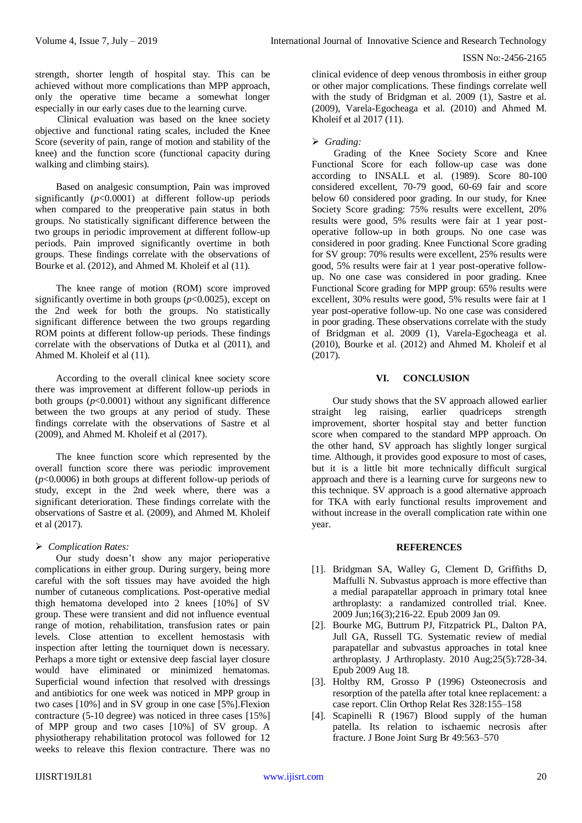strength, shorter length of hospital stay. This can be achieved without more complications than MPP approach, only the operative time became a somewhat longer especially in our early cases due to the learning curve.

 Clinical evaluation was based on the knee society objective and functional rating scales, included the Knee Score (severity of pain, range of motion and stability of the knee) and the function score (functional capacity during walking and climbing stairs).

Based on analgesic consumption, Pain was improved significantly (*p*<0.0001) at different follow-up periods when compared to the preoperative pain status in both groups. No statistically significant difference between the two groups in periodic improvement at different follow-up periods. Pain improved significantly overtime in both groups. These findings correlate with the observations of Bourke et al. (2012), and Ahmed M. Kholeif et al (11).

The knee range of motion (ROM) score improved significantly overtime in both groups  $(p<0.0025)$ , except on the 2nd week for both the groups. No statistically significant difference between the two groups regarding ROM points at different follow-up periods. These findings correlate with the observations of Dutka et al (2011), and Ahmed M. Kholeif et al (11).

According to the overall clinical knee society score there was improvement at different follow-up periods in both groups  $(p<0.0001)$  without any significant difference between the two groups at any period of study. These findings correlate with the observations of Sastre et al  $(2009)$ , and Ahmed M. Kholeif et al  $(2017)$ .

The knee function score which represented by the overall function score there was periodic improvement (*p*<0.0006) in both groups at different follow-up periods of study, except in the 2nd week where, there was a significant deterioration. These findings correlate with the observations of Sastre et al. (2009), and Ahmed M. Kholeif et al (2017).

# *Complication Rates:*

Our study doesn't show any major perioperative complications in either group. During surgery, being more careful with the soft tissues may have avoided the high number of cutaneous complications. Post-operative medial thigh hematoma developed into 2 knees [10%] of SV group. These were transient and did not influence eventual range of motion, rehabilitation, transfusion rates or pain levels. Close attention to excellent hemostasis with inspection after letting the tourniquet down is necessary. Perhaps a more tight or extensive deep fascial layer closure would have eliminated or minimized hematomas. Superficial wound infection that resolved with dressings and antibiotics for one week was noticed in MPP group in two cases [10%] and in SV group in one case [5%].Flexion contracture (5-10 degree) was noticed in three cases [15%] of MPP group and two cases [10%] of SV group. A physiotherapy rehabilitation protocol was followed for 12 weeks to releave this flexion contracture. There was no

clinical evidence of deep venous thrombosis in either group or other major complications. These findings correlate well with the study of Bridgman et al. 2009 (1), Sastre et al. (2009), Varela-Egocheaga et al. (2010) and Ahmed M. Kholeif et al 2017 (11).

# *Grading:*

Grading of the Knee Society Score and Knee Functional Score for each follow-up case was done according to INSALL et al. (1989). Score 80-100 considered excellent, 70-79 good, 60-69 fair and score below 60 considered poor grading. In our study, for Knee Society Score grading: 75% results were excellent, 20% results were good, 5% results were fair at 1 year postoperative follow-up in both groups. No one case was considered in poor grading. Knee Functional Score grading for SV group: 70% results were excellent, 25% results were good, 5% results were fair at 1 year post-operative followup. No one case was considered in poor grading. Knee Functional Score grading for MPP group: 65% results were excellent, 30% results were good, 5% results were fair at 1 year post-operative follow-up. No one case was considered in poor grading. These observations correlate with the study of Bridgman et al. 2009 (1), Varela-Egocheaga et al. (2010), Bourke et al. (2012) and Ahmed M. Kholeif et al (2017).

# **VI. CONCLUSION**

Our study shows that the SV approach allowed earlier straight leg raising, earlier quadriceps strength improvement, shorter hospital stay and better function score when compared to the standard MPP approach. On the other hand, SV approach has slightly longer surgical time. Although, it provides good exposure to most of cases, but it is a little bit more technically difficult surgical approach and there is a learning curve for surgeons new to this technique. SV approach is a good alternative approach for TKA with early functional results improvement and without increase in the overall complication rate within one year.

#### **REFERENCES**

- [1]. Bridgman SA, Walley G, Clement D, Griffiths D, Maffulli N. Subvastus approach is more effective than a medial parapatellar approach in primary total knee arthroplasty: a randamized controlled trial. Knee. 2009 Jun;16(3);216-22. Epub 2009 Jan 09.
- [2]. Bourke MG, Buttrum PJ, Fitzpatrick PL, Dalton PA, Jull GA, Russell TG. Systematic review of medial parapatellar and subvastus approaches in total knee arthroplasty. J Arthroplasty. 2010 Aug;25(5):728-34. Epub 2009 Aug 18.
- [3]. Holtby RM, Grosso P (1996) Osteonecrosis and resorption of the patella after total knee replacement: a case report. Clin Orthop Relat Res 328:155–158
- [4]. Scapinelli R (1967) Blood supply of the human patella. Its relation to ischaemic necrosis after fracture. J Bone Joint Surg Br 49:563–570